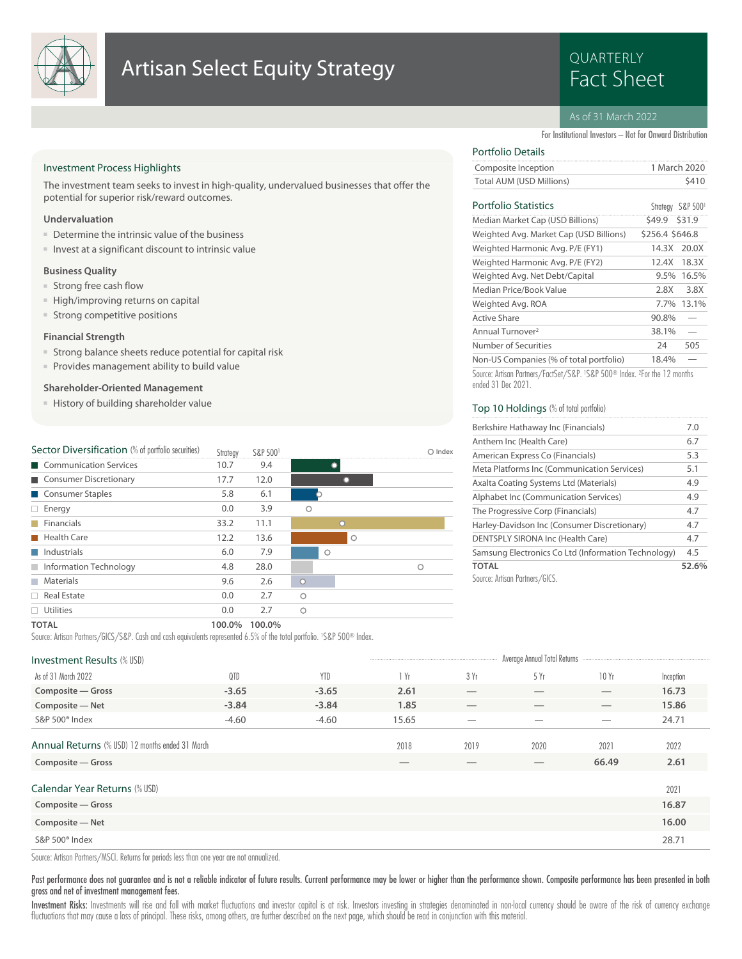

## **Artisan Select Equity Strategy Example 20 Artisan Select Equity Strategy**

# QUARTERLY

## As of 31 March 2022

For Institutional Investors – Not for Onward Distribution

 $C_{bathom}$  COD  $F(0)$ 

## Investment Process Highlights

The investment team seeks to invest in high-quality, undervalued businesses that offer the potential for superior risk/reward outcomes.

## **Undervaluation**

- Determine the intrinsic value of the business
- Invest at a significant discount to intrinsic value

#### **Business Quality**

- Strong free cash flow
- High/improving returns on capital
- Strong competitive positions

## **Financial Strength**

- Strong balance sheets reduce potential for capital risk
- Provides management ability to build value

## **Shareholder-Oriented Management**

■ History of building shareholder value

| Sector Diversification (% of portfolio securities) | Strategy | S&P 5001 |          | Index |
|----------------------------------------------------|----------|----------|----------|-------|
| Communication Services                             | 10.7     | 9.4      |          |       |
| Consumer Discretionary                             | 17.7     | 12.0     |          |       |
| Consumer Staples                                   | 5.8      | 6.1      |          |       |
| Energy<br>$\Box$                                   | 0.0      | 3.9      | Ω        |       |
| Financials                                         | 33.2     | 11.1     | $\Omega$ |       |
| Health Care                                        | 12.2     | 13.6     | $\circ$  |       |
| $\blacksquare$ Industrials                         | 6.0      | 7.9      | O        |       |
| Information Technology                             | 4.8      | 28.0     |          | Ω     |
| Materials<br><b>Tall</b>                           | 9.6      | 2.6      | $\circ$  |       |
| $\Box$ Real Estate                                 | 0.0      | 2.7      | Ω        |       |
| Utilities                                          | 0.0      | 2.7      | Ω        |       |
| _____                                              |          | $\cdots$ |          |       |

## Portfolio Details

| Composite Inception      | 1 March 2020 |
|--------------------------|--------------|
| Total AUM (USD Millions) | \$410        |

## **Portfolio** Statistics

| r urtiuliu platistics                   | <b>Sumedal SOL SOD.</b> |        |
|-----------------------------------------|-------------------------|--------|
| Median Market Cap (USD Billions)        | \$49.9                  | \$31.9 |
| Weighted Avg. Market Cap (USD Billions) | \$256.4 \$646.8         |        |
| Weighted Harmonic Avg. P/E (FY1)        | 14.3X 20.0X             |        |
| Weighted Harmonic Avg. P/E (FY2)        | 12.4X                   | 18.3X  |
| Weighted Avg. Net Debt/Capital          | 9.5%                    | 16.5%  |
| Median Price/Book Value                 | 2.8X                    | 3.8X   |
| Weighted Avg. ROA                       | $7.7\%$                 | 13.1%  |
| Active Share                            | 90.8%                   |        |
| Annual Turnover <sup>2</sup>            | 38.1%                   |        |
| Number of Securities                    | 74                      | 505    |
| Non-US Companies (% of total portfolio) | 18.4%                   |        |

Source: Artisan Partners/FactSet/S&P. <sup>1</sup> S&P 500® Index. <sup>2</sup> For the 12 months ended 31 Dec 2021.

## Top 10 Holdings (% of total portfolio)

| Berkshire Hathaway Inc (Financials)                 | 7.0   |
|-----------------------------------------------------|-------|
| Anthem Inc (Health Care)                            | 6.7   |
| American Express Co (Financials)                    | 5.3   |
| Meta Platforms Inc (Communication Services)         | 5.1   |
| Axalta Coating Systems Ltd (Materials)              | 4.9   |
| Alphabet Inc (Communication Services)               | 4.9   |
| The Progressive Corp (Financials)                   | 4.7   |
| Harley-Davidson Inc (Consumer Discretionary)        | 4.7   |
| DENTSPLY SIRONA Inc (Health Care)                   | 4.7   |
| Samsung Electronics Co Ltd (Information Technology) | 4.5   |
| <b>TOTAL</b>                                        | 52.6% |
| Source: Artisan Partners/GICS.                      |       |

#### **TOTAL 100.0% 100.0%**

Source: Artisan Partners/GICS/S&P. Cash and cash equivalents represented 6.5% of the total portfolio. <sup>1</sup> S&P 500® Index.

| <b>Investment Results (% USD)</b>                                    |         |            |                                  |      | Average Annual Total Returns |                   |              |
|----------------------------------------------------------------------|---------|------------|----------------------------------|------|------------------------------|-------------------|--------------|
| As of 31 March 2022                                                  | QTD     | <b>YTD</b> | $\mathsf{I}$ Yr                  | 3 Yr | 5Yr                          | 10Yr              | Inception    |
| Composite - Gross                                                    | $-3.65$ | $-3.65$    | 2.61                             |      | $\hspace{0.05cm}$            | $\qquad \qquad$   | 16.73        |
| Composite - Net                                                      | $-3.84$ | $-3.84$    | 1.85                             |      |                              | $\qquad \qquad$   | 15.86        |
| S&P 500 <sup>®</sup> Index                                           | $-4.60$ | $-4.60$    | 15.65                            |      |                              | $\hspace{0.05cm}$ | 24.71        |
| Annual Returns (% USD) 12 months ended 31 March<br>Composite - Gross |         |            | 2018<br>$\overline{\phantom{a}}$ | 2019 | 2020                         | 2021<br>66.49     | 2022<br>2.61 |
| Calendar Year Returns (% USD)                                        |         |            |                                  |      |                              |                   | 2021         |
| Composite - Gross                                                    |         |            |                                  |      |                              |                   | 16.87        |
| Composite - Net                                                      |         |            |                                  |      |                              |                   | 16.00        |
| S&P 500 <sup>®</sup> Index                                           |         |            |                                  |      |                              |                   | 28.71        |
|                                                                      |         |            |                                  |      |                              |                   |              |

Source: Artisan Partners/MSCI. Returns for periods less than one year are not annualized.

Past performance does not guarantee and is not a reliable indicator of future results. Current performance may be lower or higher than the performance shown. Composite performance has been presented in both gross and net of investment management fees.

Investment Risks: Investments will rise and fall with market fluctuations and investor capital is at risk. Investors investing in strategies denominated in non-local currency should be aware of the risk of currency exchang fluctuations that may cause a loss of principal. These risks, among others, are further described on the next page, which should be read in conjunction with this material.